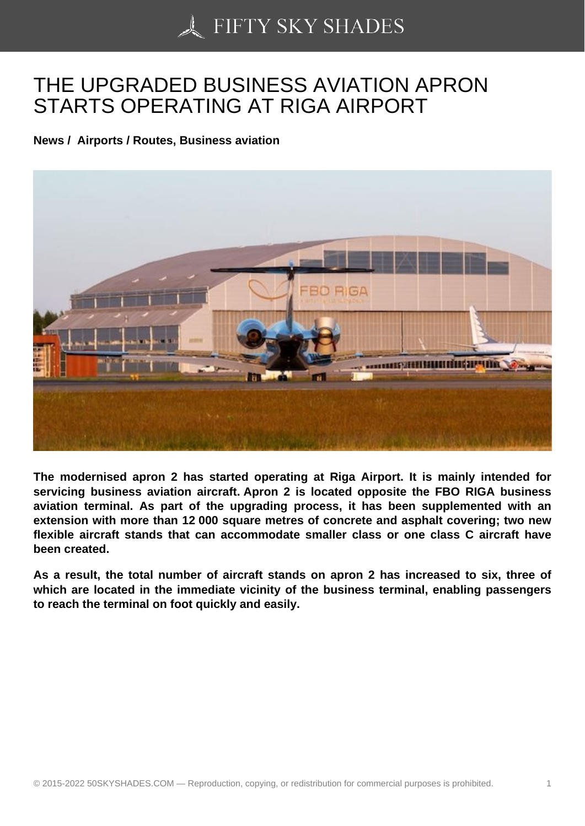## [THE UPGRADED BUS](https://50skyshades.com)INESS AVIATION APRON STARTS OPERATING AT RIGA AIRPORT

News / Airports / Routes, Business aviation

The modernised apron 2 has started operating at Riga Airport. It is mainly intended for servicing business aviation aircraft. Apron 2 is located opposite the FBO RIGA business aviation terminal. As part of the upgrading process, it has been supplemented with an extension with more than 12 000 square metres of concrete and asphalt covering; two new flexible aircraft stands that can accommodate smaller class or one class C aircraft have been created.

As a result, the total number of aircraft stands on apron 2 has increased to six, three of which are located in the immediate vicinity of the business terminal, enabling passengers to reach the terminal on foot quickly and easily.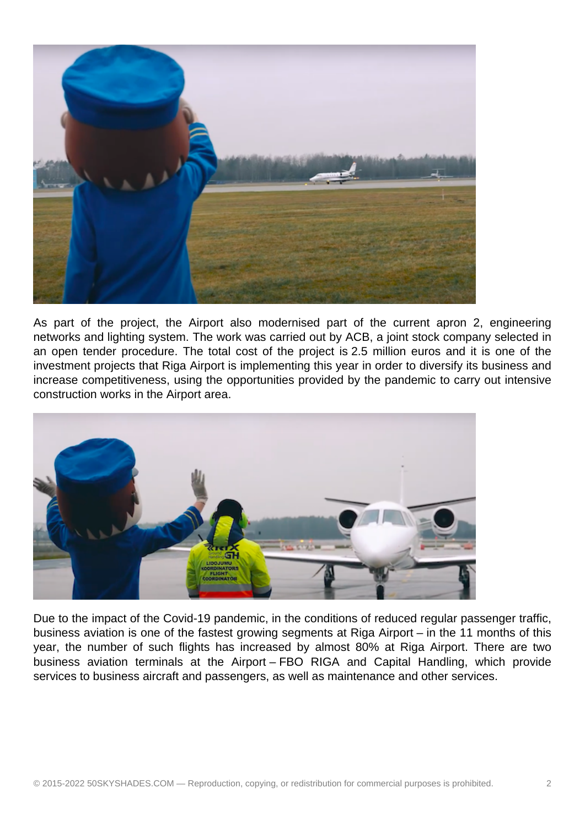

As part of the project, the Airport also modernised part of the current apron 2, engineering networks and lighting system. The work was carried out by ACB, a joint stock company selected in an open tender procedure. The total cost of the project is 2.5 million euros and it is one of the investment projects that Riga Airport is implementing this year in order to diversify its business and increase competitiveness, using the opportunities provided by the pandemic to carry out intensive construction works in the Airport area.



Due to the impact of the Covid-19 pandemic, in the conditions of reduced regular passenger traffic, business aviation is one of the fastest growing segments at Riga Airport – in the 11 months of this year, the number of such flights has increased by almost 80% at Riga Airport. There are two business aviation terminals at the Airport – FBO RIGA and Capital Handling, which provide services to business aircraft and passengers, as well as maintenance and other services.